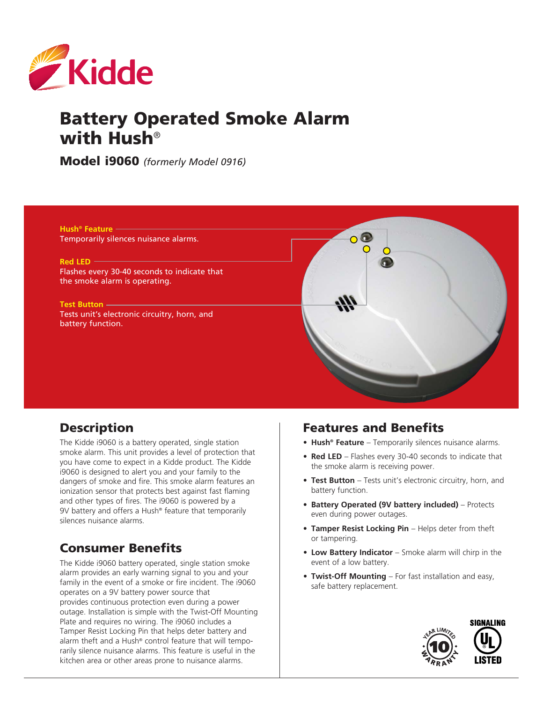

# Battery Operated Smoke Alarm with Hush®

Model i9060 *(formerly Model 0916)*

**Hush® Feature** Temporarily silences nuisance alarms.

**Red LED**

Flashes every 30-40 seconds to indicate that the smoke alarm is operating.

**Test Button** Tests unit's electronic circuitry, horn, and battery function.



# **Description**

The Kidde i9060 is a battery operated, single station smoke alarm. This unit provides a level of protection that you have come to expect in a Kidde product. The Kidde i9060 is designed to alert you and your family to the dangers of smoke and fire. This smoke alarm features an ionization sensor that protects best against fast flaming and other types of fires. The i9060 is powered by a 9V battery and offers a Hush® feature that temporarily silences nuisance alarms.

# Consumer Benefits

The Kidde i9060 battery operated, single station smoke alarm provides an early warning signal to you and your family in the event of a smoke or fire incident. The i9060 operates on a 9V battery power source that provides continuous protection even during a power outage. Installation is simple with the Twist-Off Mounting Plate and requires no wiring. The i9060 includes a Tamper Resist Locking Pin that helps deter battery and alarm theft and a Hush® control feature that will temporarily silence nuisance alarms. This feature is useful in the kitchen area or other areas prone to nuisance alarms.

#### Features and Benefits

- **• Hush® Feature** Temporarily silences nuisance alarms.
- **• Red LED** Flashes every 30-40 seconds to indicate that the smoke alarm is receiving power.
- **• Test Button** Tests unit's electronic circuitry, horn, and battery function.
- **• Battery Operated (9V battery included)** Protects even during power outages.
- **• Tamper Resist Locking Pin** Helps deter from theft or tampering.
- **• Low Battery Indicator** Smoke alarm will chirp in the event of a low battery.
- **Twist-Off Mounting** For fast installation and easy, safe battery replacement.